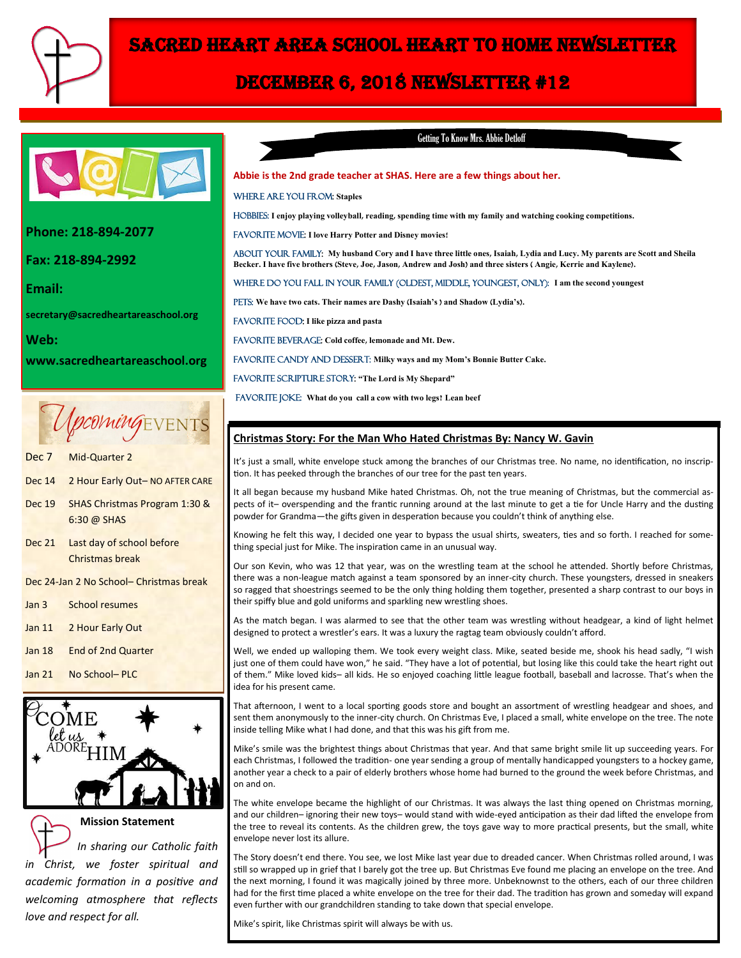

# DECEMBER 6, 2018 NEWSLETTER #12



**Phone: 218-894-2077** 

**Fax: 218-894-2992** 

**Email:** 

**secretary@sacredheartareaschool.org**

**Web:** 

**www.sacredheartareaschool.org**



- Dec 7 Mid-Quarter 2
- Dec 14 2 Hour Early Out-NO AFTER CARE
- Dec 19 SHAS Christmas Program 1:30 & 6:30 @ SHAS
- Dec 21 Last day of school before Christmas break

Dec 24-Jan 2 No School– Christmas break

Jan 3 School resumes

Jan 11 2 Hour Early Out

Jan 18 End of 2nd Quarter

Jan 21 No School– PLC



**Mission Statement**

 *In sharing our Catholic faith in Christ, we foster spiritual and academic formation in a positive and welcoming atmosphere that reflects love and respect for all.* 

### Getting To Know Mrs. Abbie Detloff

**Abbie is the 2nd grade teacher at SHAS. Here are a few things about her.** 

### Where are you from: **Staples**

Hobbies: **I enjoy playing volleyball, reading, spending time with my family and watching cooking competitions.**

FAVORITE MOVIE: I love Harry Potter and Disney movies!

ABOUT YOUR FAMILY: My husband Cory and I have three little ones, Isaiah, Lydia and Lucy. My parents are Scott and Sheila **Becker. I have five brothers (Steve, Joe, Jason, Andrew and Josh) and three sisters ( Angie, Kerrie and Kaylene).** 

#### Where do you fall in your family (oldest, middle, youngest, only): **I am the second youngest**

PETS: We have two cats. Their names are Dashy (Isaiah's ) and Shadow (Lydia's).

FAVORITE FOOD: I like pizza and pasta

Favorite beverage: **Cold coffee, lemonade and Mt. Dew.**

FAVORITE CANDY AND DESSERT: Milky ways and my Mom's Bonnie Butter Cake.

FAVORITE SCRIPTURE STORY: "The Lord is My Shepard"

FAVORITE JOKE: What do you call a cow with two legs? Lean beef

### **Christmas Story: For the Man Who Hated Christmas By: Nancy W. Gavin**

It's just a small, white envelope stuck among the branches of our Christmas tree. No name, no identification, no inscription. It has peeked through the branches of our tree for the past ten years.

It all began because my husband Mike hated Christmas. Oh, not the true meaning of Christmas, but the commercial aspects of it– overspending and the frantic running around at the last minute to get a tie for Uncle Harry and the dusting powder for Grandma—the gifts given in desperation because you couldn't think of anything else.

Knowing he felt this way, I decided one year to bypass the usual shirts, sweaters, ties and so forth. I reached for something special just for Mike. The inspiration came in an unusual way.

Our son Kevin, who was 12 that year, was on the wrestling team at the school he attended. Shortly before Christmas, there was a non-league match against a team sponsored by an inner-city church. These youngsters, dressed in sneakers so ragged that shoestrings seemed to be the only thing holding them together, presented a sharp contrast to our boys in their spiffy blue and gold uniforms and sparkling new wrestling shoes.

As the match began. I was alarmed to see that the other team was wrestling without headgear, a kind of light helmet designed to protect a wrestler's ears. It was a luxury the ragtag team obviously couldn't afford.

Well, we ended up walloping them. We took every weight class. Mike, seated beside me, shook his head sadly, "I wish just one of them could have won," he said. "They have a lot of potential, but losing like this could take the heart right out of them." Mike loved kids– all kids. He so enjoyed coaching little league football, baseball and lacrosse. That's when the idea for his present came.

That afternoon, I went to a local sporting goods store and bought an assortment of wrestling headgear and shoes, and sent them anonymously to the inner-city church. On Christmas Eve, I placed a small, white envelope on the tree. The note inside telling Mike what I had done, and that this was his gift from me.

Mike's smile was the brightest things about Christmas that year. And that same bright smile lit up succeeding years. For each Christmas, I followed the tradition- one year sending a group of mentally handicapped youngsters to a hockey game, another year a check to a pair of elderly brothers whose home had burned to the ground the week before Christmas, and on and on.

The white envelope became the highlight of our Christmas. It was always the last thing opened on Christmas morning, and our children– ignoring their new toys– would stand with wide-eyed anticipation as their dad lifted the envelope from the tree to reveal its contents. As the children grew, the toys gave way to more practical presents, but the small, white envelope never lost its allure.

The Story doesn't end there. You see, we lost Mike last year due to dreaded cancer. When Christmas rolled around, I was still so wrapped up in grief that I barely got the tree up. But Christmas Eve found me placing an envelope on the tree. And the next morning, I found it was magically joined by three more. Unbeknownst to the others, each of our three children had for the first time placed a white envelope on the tree for their dad. The tradition has grown and someday will expand even further with our grandchildren standing to take down that special envelope.

Mike's spirit, like Christmas spirit will always be with us.